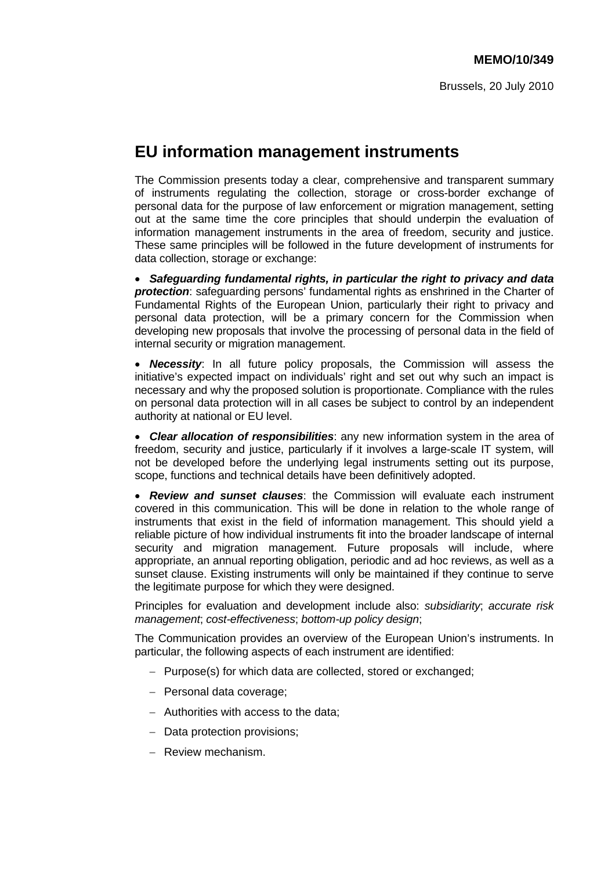# **EU information management instruments**

The Commission presents today a clear, comprehensive and transparent summary of instruments regulating the collection, storage or cross-border exchange of personal data for the purpose of law enforcement or migration management, setting out at the same time the core principles that should underpin the evaluation of information management instruments in the area of freedom, security and justice. These same principles will be followed in the future development of instruments for data collection, storage or exchange:

• *Safeguarding fundamental rights, in particular the right to privacy and data protection*: safeguarding persons' fundamental rights as enshrined in the Charter of Fundamental Rights of the European Union, particularly their right to privacy and personal data protection, will be a primary concern for the Commission when developing new proposals that involve the processing of personal data in the field of internal security or migration management.

• *Necessity*: In all future policy proposals, the Commission will assess the initiative's expected impact on individuals' right and set out why such an impact is necessary and why the proposed solution is proportionate. Compliance with the rules on personal data protection will in all cases be subject to control by an independent authority at national or EU level.

• *Clear allocation of responsibilities*: any new information system in the area of freedom, security and justice, particularly if it involves a large-scale IT system, will not be developed before the underlying legal instruments setting out its purpose, scope, functions and technical details have been definitively adopted.

• *Review and sunset clauses*: the Commission will evaluate each instrument covered in this communication. This will be done in relation to the whole range of instruments that exist in the field of information management. This should yield a reliable picture of how individual instruments fit into the broader landscape of internal security and migration management. Future proposals will include, where appropriate, an annual reporting obligation, periodic and ad hoc reviews, as well as a sunset clause. Existing instruments will only be maintained if they continue to serve the legitimate purpose for which they were designed.

Principles for evaluation and development include also: *subsidiarity*; *accurate risk management*; *cost-effectiveness*; *bottom-up policy design*;

The Communication provides an overview of the European Union's instruments. In particular, the following aspects of each instrument are identified:

- − Purpose(s) for which data are collected, stored or exchanged;
- − Personal data coverage;
- − Authorities with access to the data;
- − Data protection provisions;
- − Review mechanism.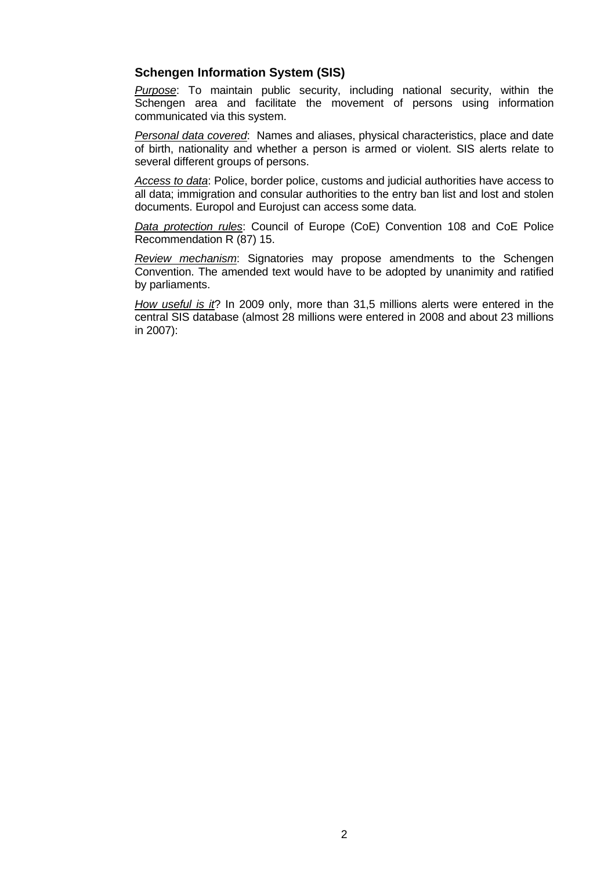### **Schengen Information System (SIS)**

*Purpose*: To maintain public security, including national security, within the Schengen area and facilitate the movement of persons using information communicated via this system.

*Personal data covered*: Names and aliases, physical characteristics, place and date of birth, nationality and whether a person is armed or violent. SIS alerts relate to several different groups of persons.

*Access to data*: Police, border police, customs and judicial authorities have access to all data; immigration and consular authorities to the entry ban list and lost and stolen documents. Europol and Eurojust can access some data.

*Data protection rules*: Council of Europe (CoE) Convention 108 and CoE Police Recommendation R (87) 15.

*Review mechanism*: Signatories may propose amendments to the Schengen Convention. The amended text would have to be adopted by unanimity and ratified by parliaments.

*How useful is it*? In 2009 only, more than 31,5 millions alerts were entered in the central SIS database (almost 28 millions were entered in 2008 and about 23 millions in 2007):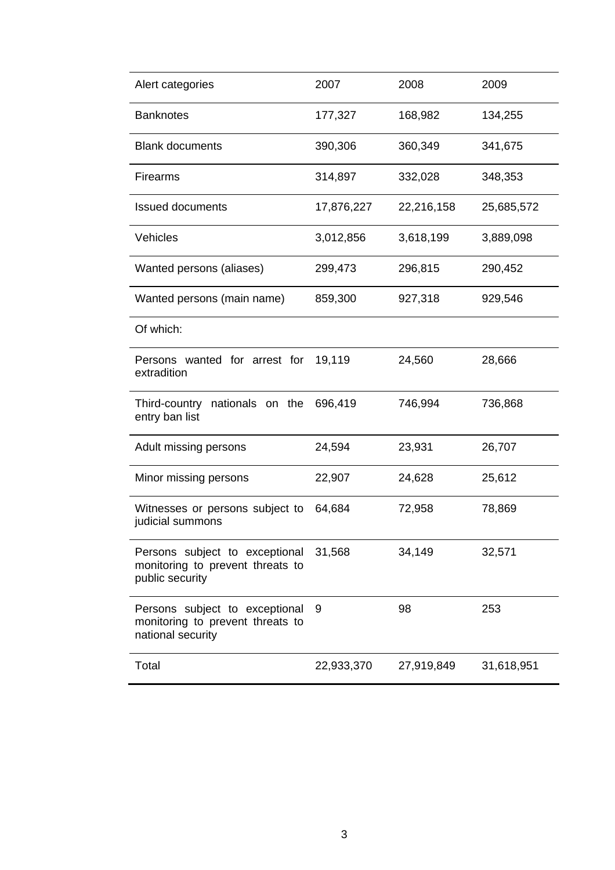| Alert categories                                                                        | 2007       | 2008       | 2009       |
|-----------------------------------------------------------------------------------------|------------|------------|------------|
| <b>Banknotes</b>                                                                        | 177,327    | 168,982    | 134,255    |
| <b>Blank documents</b>                                                                  | 390,306    | 360,349    | 341,675    |
| <b>Firearms</b>                                                                         | 314,897    | 332,028    | 348,353    |
| <b>Issued documents</b>                                                                 | 17,876,227 | 22,216,158 | 25,685,572 |
| Vehicles                                                                                | 3,012,856  | 3,618,199  | 3,889,098  |
| Wanted persons (aliases)                                                                | 299,473    | 296,815    | 290,452    |
| Wanted persons (main name)                                                              | 859,300    | 927,318    | 929,546    |
| Of which:                                                                               |            |            |            |
| Persons wanted for arrest for<br>extradition                                            | 19,119     | 24,560     | 28,666     |
| Third-country nationals on the<br>entry ban list                                        | 696,419    | 746,994    | 736,868    |
| Adult missing persons                                                                   | 24,594     | 23,931     | 26,707     |
| Minor missing persons                                                                   | 22,907     | 24,628     | 25,612     |
| Witnesses or persons subject to<br>judicial summons                                     | 64,684     | 72,958     | 78,869     |
| Persons subject to exceptional<br>monitoring to prevent threats to<br>public security   | 31,568     | 34,149     | 32,571     |
| Persons subject to exceptional<br>monitoring to prevent threats to<br>national security | 9          | 98         | 253        |
| Total                                                                                   | 22,933,370 | 27,919,849 | 31,618,951 |
|                                                                                         |            |            |            |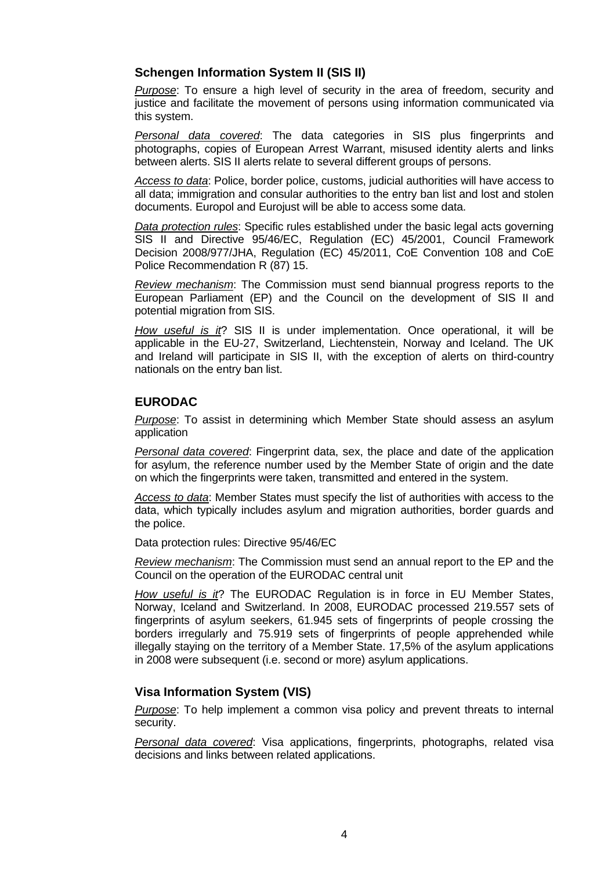## **Schengen Information System II (SIS II)**

*Purpose*: To ensure a high level of security in the area of freedom, security and justice and facilitate the movement of persons using information communicated via this system.

*Personal data covered*: The data categories in SIS plus fingerprints and photographs, copies of European Arrest Warrant, misused identity alerts and links between alerts. SIS II alerts relate to several different groups of persons.

*Access to data*: Police, border police, customs, judicial authorities will have access to all data; immigration and consular authorities to the entry ban list and lost and stolen documents. Europol and Eurojust will be able to access some data.

*Data protection rules*: Specific rules established under the basic legal acts governing SIS II and Directive 95/46/EC, Regulation (EC) 45/2001, Council Framework Decision 2008/977/JHA, Regulation (EC) 45/2011, CoE Convention 108 and CoE Police Recommendation R (87) 15.

*Review mechanism*: The Commission must send biannual progress reports to the European Parliament (EP) and the Council on the development of SIS II and potential migration from SIS.

*How useful is it*? SIS II is under implementation. Once operational, it will be applicable in the EU-27, Switzerland, Liechtenstein, Norway and Iceland. The UK and Ireland will participate in SIS II, with the exception of alerts on third-country nationals on the entry ban list.

#### **EURODAC**

*Purpose*: To assist in determining which Member State should assess an asylum application

*Personal data covered*: Fingerprint data, sex, the place and date of the application for asylum, the reference number used by the Member State of origin and the date on which the fingerprints were taken, transmitted and entered in the system.

*Access to data*: Member States must specify the list of authorities with access to the data, which typically includes asylum and migration authorities, border guards and the police.

Data protection rules: Directive 95/46/EC

*Review mechanism*: The Commission must send an annual report to the EP and the Council on the operation of the EURODAC central unit

*How useful is it*? The EURODAC Regulation is in force in EU Member States, Norway, Iceland and Switzerland. In 2008, EURODAC processed 219.557 sets of fingerprints of asylum seekers, 61.945 sets of fingerprints of people crossing the borders irregularly and 75.919 sets of fingerprints of people apprehended while illegally staying on the territory of a Member State. 17,5% of the asylum applications in 2008 were subsequent (i.e. second or more) asylum applications.

#### **Visa Information System (VIS)**

*Purpose*: To help implement a common visa policy and prevent threats to internal security.

*Personal data covered*: Visa applications, fingerprints, photographs, related visa decisions and links between related applications.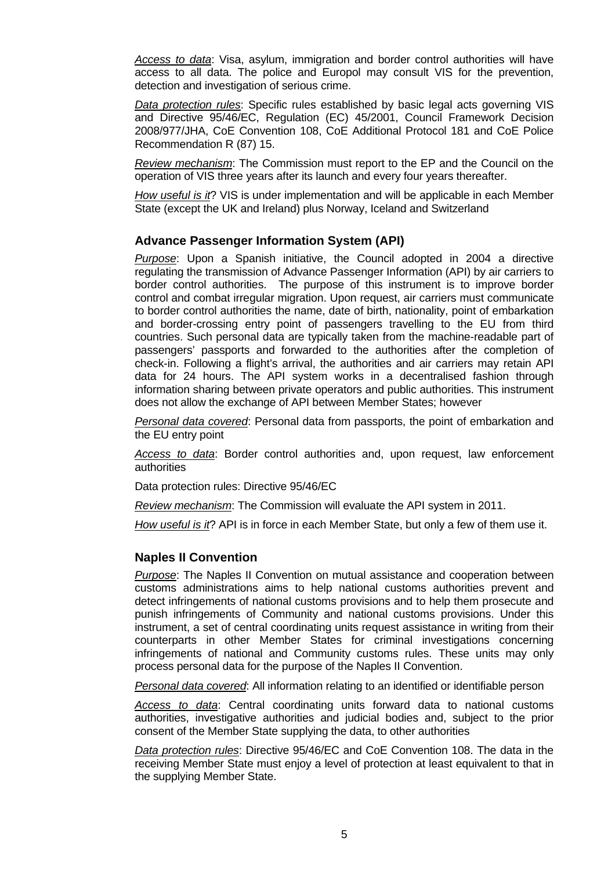*Access to data*: Visa, asylum, immigration and border control authorities will have access to all data. The police and Europol may consult VIS for the prevention, detection and investigation of serious crime.

*Data protection rules*: Specific rules established by basic legal acts governing VIS and Directive 95/46/EC, Regulation (EC) 45/2001, Council Framework Decision 2008/977/JHA, CoE Convention 108, CoE Additional Protocol 181 and CoE Police Recommendation R (87) 15.

*Review mechanism*: The Commission must report to the EP and the Council on the operation of VIS three years after its launch and every four years thereafter.

*How useful is it*? VIS is under implementation and will be applicable in each Member State (except the UK and Ireland) plus Norway, Iceland and Switzerland

#### **Advance Passenger Information System (API)**

*Purpose*: Upon a Spanish initiative, the Council adopted in 2004 a directive regulating the transmission of Advance Passenger Information (API) by air carriers to border control authorities. The purpose of this instrument is to improve border control and combat irregular migration. Upon request, air carriers must communicate to border control authorities the name, date of birth, nationality, point of embarkation and border-crossing entry point of passengers travelling to the EU from third countries. Such personal data are typically taken from the machine-readable part of passengers' passports and forwarded to the authorities after the completion of check-in. Following a flight's arrival, the authorities and air carriers may retain API data for 24 hours. The API system works in a decentralised fashion through information sharing between private operators and public authorities. This instrument does not allow the exchange of API between Member States; however

*Personal data covered*: Personal data from passports, the point of embarkation and the EU entry point

*Access to data*: Border control authorities and, upon request, law enforcement authorities

Data protection rules: Directive 95/46/EC

*Review mechanism*: The Commission will evaluate the API system in 2011.

*How useful is it*? API is in force in each Member State, but only a few of them use it.

## **Naples II Convention**

*Purpose*: The Naples II Convention on mutual assistance and cooperation between customs administrations aims to help national customs authorities prevent and detect infringements of national customs provisions and to help them prosecute and punish infringements of Community and national customs provisions. Under this instrument, a set of central coordinating units request assistance in writing from their counterparts in other Member States for criminal investigations concerning infringements of national and Community customs rules. These units may only process personal data for the purpose of the Naples II Convention.

*Personal data covered*: All information relating to an identified or identifiable person

*Access to data*: Central coordinating units forward data to national customs authorities, investigative authorities and judicial bodies and, subject to the prior consent of the Member State supplying the data, to other authorities

*Data protection rules*: Directive 95/46/EC and CoE Convention 108. The data in the receiving Member State must enjoy a level of protection at least equivalent to that in the supplying Member State.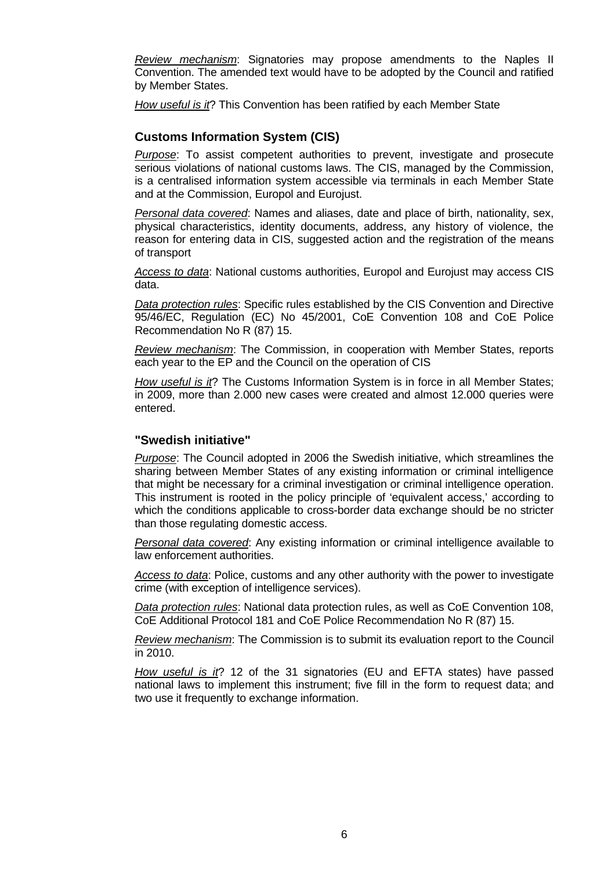*Review mechanism*: Signatories may propose amendments to the Naples II Convention. The amended text would have to be adopted by the Council and ratified by Member States.

*How useful is it*? This Convention has been ratified by each Member State

## **Customs Information System (CIS)**

*Purpose*: To assist competent authorities to prevent, investigate and prosecute serious violations of national customs laws. The CIS, managed by the Commission, is a centralised information system accessible via terminals in each Member State and at the Commission, Europol and Eurojust.

*Personal data covered*: Names and aliases, date and place of birth, nationality, sex, physical characteristics, identity documents, address, any history of violence, the reason for entering data in CIS, suggested action and the registration of the means of transport

*Access to data*: National customs authorities, Europol and Eurojust may access CIS data.

*Data protection rules*: Specific rules established by the CIS Convention and Directive 95/46/EC, Regulation (EC) No 45/2001, CoE Convention 108 and CoE Police Recommendation No R (87) 15.

*Review mechanism*: The Commission, in cooperation with Member States, reports each year to the EP and the Council on the operation of CIS

*How useful is it*? The Customs Information System is in force in all Member States; in 2009, more than 2.000 new cases were created and almost 12.000 queries were entered.

#### **"Swedish initiative"**

*Purpose*: The Council adopted in 2006 the Swedish initiative, which streamlines the sharing between Member States of any existing information or criminal intelligence that might be necessary for a criminal investigation or criminal intelligence operation. This instrument is rooted in the policy principle of 'equivalent access,' according to which the conditions applicable to cross-border data exchange should be no stricter than those regulating domestic access.

*Personal data covered*: Any existing information or criminal intelligence available to law enforcement authorities.

*Access to data*: Police, customs and any other authority with the power to investigate crime (with exception of intelligence services).

*Data protection rules*: National data protection rules, as well as CoE Convention 108, CoE Additional Protocol 181 and CoE Police Recommendation No R (87) 15.

*Review mechanism*: The Commission is to submit its evaluation report to the Council in 2010.

*How useful is it*? 12 of the 31 signatories (EU and EFTA states) have passed national laws to implement this instrument; five fill in the form to request data; and two use it frequently to exchange information.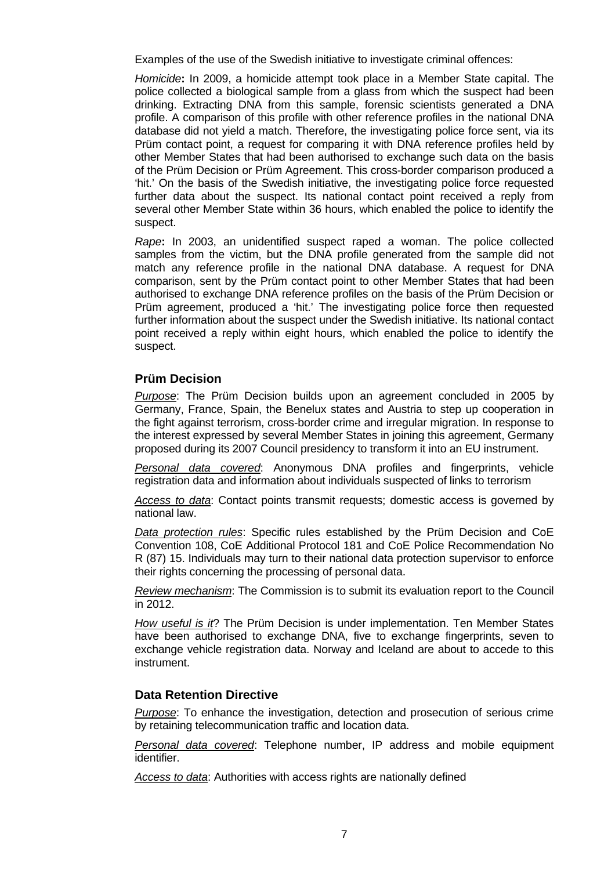Examples of the use of the Swedish initiative to investigate criminal offences:

*Homicide***:** In 2009, a homicide attempt took place in a Member State capital. The police collected a biological sample from a glass from which the suspect had been drinking. Extracting DNA from this sample, forensic scientists generated a DNA profile. A comparison of this profile with other reference profiles in the national DNA database did not yield a match. Therefore, the investigating police force sent, via its Prüm contact point, a request for comparing it with DNA reference profiles held by other Member States that had been authorised to exchange such data on the basis of the Prüm Decision or Prüm Agreement. This cross-border comparison produced a 'hit.' On the basis of the Swedish initiative, the investigating police force requested further data about the suspect. Its national contact point received a reply from several other Member State within 36 hours, which enabled the police to identify the suspect.

*Rape***:** In 2003, an unidentified suspect raped a woman. The police collected samples from the victim, but the DNA profile generated from the sample did not match any reference profile in the national DNA database. A request for DNA comparison, sent by the Prüm contact point to other Member States that had been authorised to exchange DNA reference profiles on the basis of the Prüm Decision or Prüm agreement, produced a 'hit.' The investigating police force then requested further information about the suspect under the Swedish initiative. Its national contact point received a reply within eight hours, which enabled the police to identify the suspect.

## **Prüm Decision**

*Purpose*: The Prüm Decision builds upon an agreement concluded in 2005 by Germany, France, Spain, the Benelux states and Austria to step up cooperation in the fight against terrorism, cross-border crime and irregular migration. In response to the interest expressed by several Member States in joining this agreement, Germany proposed during its 2007 Council presidency to transform it into an EU instrument.

*Personal data covered*: Anonymous DNA profiles and fingerprints, vehicle registration data and information about individuals suspected of links to terrorism

*Access to data*: Contact points transmit requests; domestic access is governed by national law.

*Data protection rules*: Specific rules established by the Prüm Decision and CoE Convention 108, CoE Additional Protocol 181 and CoE Police Recommendation No R (87) 15. Individuals may turn to their national data protection supervisor to enforce their rights concerning the processing of personal data.

*Review mechanism*: The Commission is to submit its evaluation report to the Council in 2012.

*How useful is it*? The Prüm Decision is under implementation. Ten Member States have been authorised to exchange DNA, five to exchange fingerprints, seven to exchange vehicle registration data. Norway and Iceland are about to accede to this instrument.

#### **Data Retention Directive**

*Purpose*: To enhance the investigation, detection and prosecution of serious crime by retaining telecommunication traffic and location data.

*Personal data covered*: Telephone number, IP address and mobile equipment identifier.

*Access to data*: Authorities with access rights are nationally defined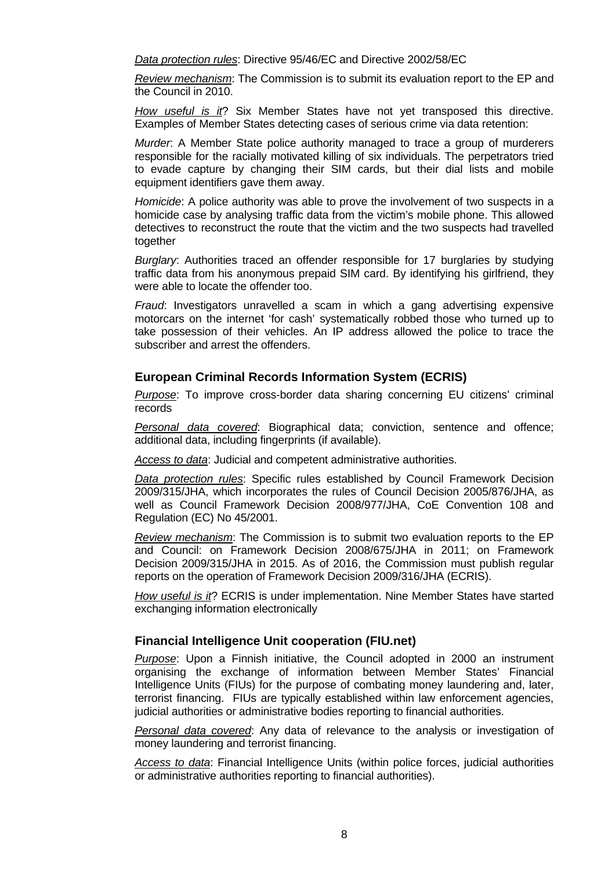*Data protection rules*: Directive 95/46/EC and Directive 2002/58/EC

*Review mechanism*: The Commission is to submit its evaluation report to the EP and the Council in 2010.

*How useful is it*? Six Member States have not yet transposed this directive. Examples of Member States detecting cases of serious crime via data retention:

*Murder*: A Member State police authority managed to trace a group of murderers responsible for the racially motivated killing of six individuals. The perpetrators tried to evade capture by changing their SIM cards, but their dial lists and mobile equipment identifiers gave them away.

*Homicide*: A police authority was able to prove the involvement of two suspects in a homicide case by analysing traffic data from the victim's mobile phone. This allowed detectives to reconstruct the route that the victim and the two suspects had travelled together

*Burglary*: Authorities traced an offender responsible for 17 burglaries by studying traffic data from his anonymous prepaid SIM card. By identifying his girlfriend, they were able to locate the offender too.

*Fraud*: Investigators unravelled a scam in which a gang advertising expensive motorcars on the internet 'for cash' systematically robbed those who turned up to take possession of their vehicles. An IP address allowed the police to trace the subscriber and arrest the offenders.

## **European Criminal Records Information System (ECRIS)**

*Purpose*: To improve cross-border data sharing concerning EU citizens' criminal records

*Personal data covered*: Biographical data; conviction, sentence and offence; additional data, including fingerprints (if available).

*Access to data*: Judicial and competent administrative authorities.

*Data protection rules*: Specific rules established by Council Framework Decision 2009/315/JHA, which incorporates the rules of Council Decision 2005/876/JHA, as well as Council Framework Decision 2008/977/JHA, CoE Convention 108 and Regulation (EC) No 45/2001.

*Review mechanism*: The Commission is to submit two evaluation reports to the EP and Council: on Framework Decision 2008/675/JHA in 2011; on Framework Decision 2009/315/JHA in 2015. As of 2016, the Commission must publish regular reports on the operation of Framework Decision 2009/316/JHA (ECRIS).

*How useful is it*? ECRIS is under implementation. Nine Member States have started exchanging information electronically

#### **Financial Intelligence Unit cooperation (FIU.net)**

*Purpose*: Upon a Finnish initiative, the Council adopted in 2000 an instrument organising the exchange of information between Member States' Financial Intelligence Units (FIUs) for the purpose of combating money laundering and, later, terrorist financing. FIUs are typically established within law enforcement agencies, judicial authorities or administrative bodies reporting to financial authorities.

*Personal data covered*: Any data of relevance to the analysis or investigation of money laundering and terrorist financing.

*Access to data*: Financial Intelligence Units (within police forces, judicial authorities or administrative authorities reporting to financial authorities).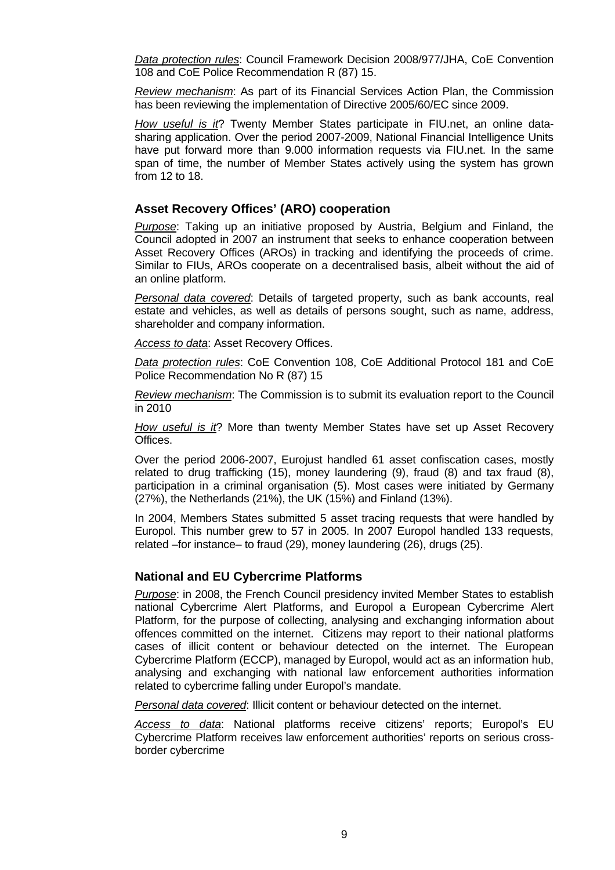*Data protection rules*: Council Framework Decision 2008/977/JHA, CoE Convention 108 and CoE Police Recommendation R (87) 15.

*Review mechanism*: As part of its Financial Services Action Plan, the Commission has been reviewing the implementation of Directive 2005/60/EC since 2009.

*How useful is it*? Twenty Member States participate in FIU.net, an online datasharing application. Over the period 2007-2009, National Financial Intelligence Units have put forward more than 9.000 information requests via FIU.net. In the same span of time, the number of Member States actively using the system has grown from 12 to 18.

#### **Asset Recovery Offices' (ARO) cooperation**

*Purpose*: Taking up an initiative proposed by Austria, Belgium and Finland, the Council adopted in 2007 an instrument that seeks to enhance cooperation between Asset Recovery Offices (AROs) in tracking and identifying the proceeds of crime. Similar to FIUs, AROs cooperate on a decentralised basis, albeit without the aid of an online platform.

*Personal data covered*: Details of targeted property, such as bank accounts, real estate and vehicles, as well as details of persons sought, such as name, address, shareholder and company information.

*Access to data*: Asset Recovery Offices.

*Data protection rules*: CoE Convention 108, CoE Additional Protocol 181 and CoE Police Recommendation No R (87) 15

*Review mechanism*: The Commission is to submit its evaluation report to the Council in 2010

*How useful is it*? More than twenty Member States have set up Asset Recovery Offices.

Over the period 2006-2007, Eurojust handled 61 asset confiscation cases, mostly related to drug trafficking (15), money laundering (9), fraud (8) and tax fraud (8), participation in a criminal organisation (5). Most cases were initiated by Germany (27%), the Netherlands (21%), the UK (15%) and Finland (13%).

In 2004, Members States submitted 5 asset tracing requests that were handled by Europol. This number grew to 57 in 2005. In 2007 Europol handled 133 requests, related –for instance– to fraud (29), money laundering (26), drugs (25).

#### **National and EU Cybercrime Platforms**

*Purpose*: in 2008, the French Council presidency invited Member States to establish national Cybercrime Alert Platforms, and Europol a European Cybercrime Alert Platform, for the purpose of collecting, analysing and exchanging information about offences committed on the internet. Citizens may report to their national platforms cases of illicit content or behaviour detected on the internet. The European Cybercrime Platform (ECCP), managed by Europol, would act as an information hub, analysing and exchanging with national law enforcement authorities information related to cybercrime falling under Europol's mandate.

*Personal data covered*: Illicit content or behaviour detected on the internet.

*Access to data*: National platforms receive citizens' reports; Europol's EU Cybercrime Platform receives law enforcement authorities' reports on serious crossborder cybercrime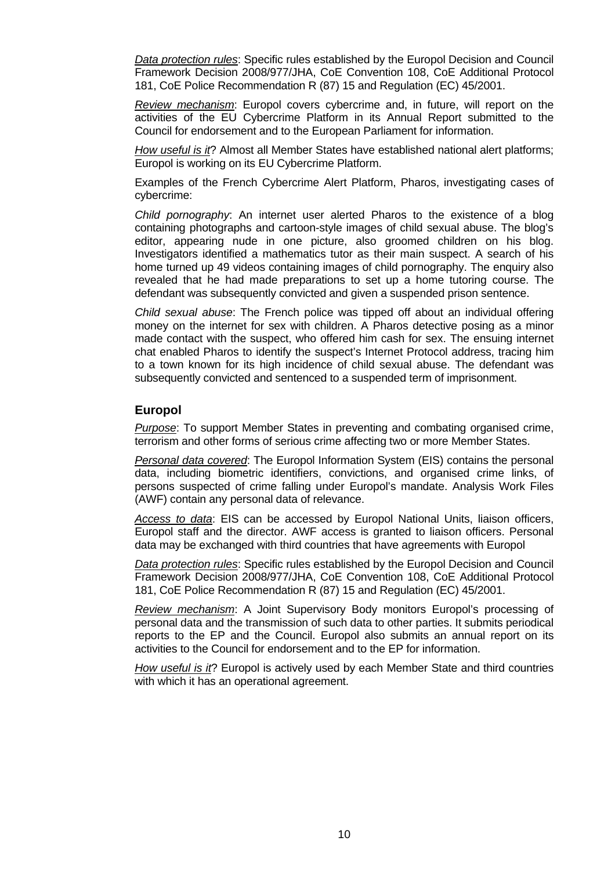*Data protection rules*: Specific rules established by the Europol Decision and Council Framework Decision 2008/977/JHA, CoE Convention 108, CoE Additional Protocol 181, CoE Police Recommendation R (87) 15 and Regulation (EC) 45/2001.

*Review mechanism*: Europol covers cybercrime and, in future, will report on the activities of the EU Cybercrime Platform in its Annual Report submitted to the Council for endorsement and to the European Parliament for information.

*How useful is it*? Almost all Member States have established national alert platforms; Europol is working on its EU Cybercrime Platform.

Examples of the French Cybercrime Alert Platform, Pharos, investigating cases of cybercrime:

*Child pornography*: An internet user alerted Pharos to the existence of a blog containing photographs and cartoon-style images of child sexual abuse. The blog's editor, appearing nude in one picture, also groomed children on his blog. Investigators identified a mathematics tutor as their main suspect. A search of his home turned up 49 videos containing images of child pornography. The enquiry also revealed that he had made preparations to set up a home tutoring course. The defendant was subsequently convicted and given a suspended prison sentence.

*Child sexual abuse*: The French police was tipped off about an individual offering money on the internet for sex with children. A Pharos detective posing as a minor made contact with the suspect, who offered him cash for sex. The ensuing internet chat enabled Pharos to identify the suspect's Internet Protocol address, tracing him to a town known for its high incidence of child sexual abuse. The defendant was subsequently convicted and sentenced to a suspended term of imprisonment.

#### **Europol**

*Purpose*: To support Member States in preventing and combating organised crime, terrorism and other forms of serious crime affecting two or more Member States.

*Personal data covered*: The Europol Information System (EIS) contains the personal data, including biometric identifiers, convictions, and organised crime links, of persons suspected of crime falling under Europol's mandate. Analysis Work Files (AWF) contain any personal data of relevance.

*Access to data*: EIS can be accessed by Europol National Units, liaison officers, Europol staff and the director. AWF access is granted to liaison officers. Personal data may be exchanged with third countries that have agreements with Europol

*Data protection rules*: Specific rules established by the Europol Decision and Council Framework Decision 2008/977/JHA, CoE Convention 108, CoE Additional Protocol 181, CoE Police Recommendation R (87) 15 and Regulation (EC) 45/2001.

*Review mechanism*: A Joint Supervisory Body monitors Europol's processing of personal data and the transmission of such data to other parties. It submits periodical reports to the EP and the Council. Europol also submits an annual report on its activities to the Council for endorsement and to the EP for information.

*How useful is it*? Europol is actively used by each Member State and third countries with which it has an operational agreement.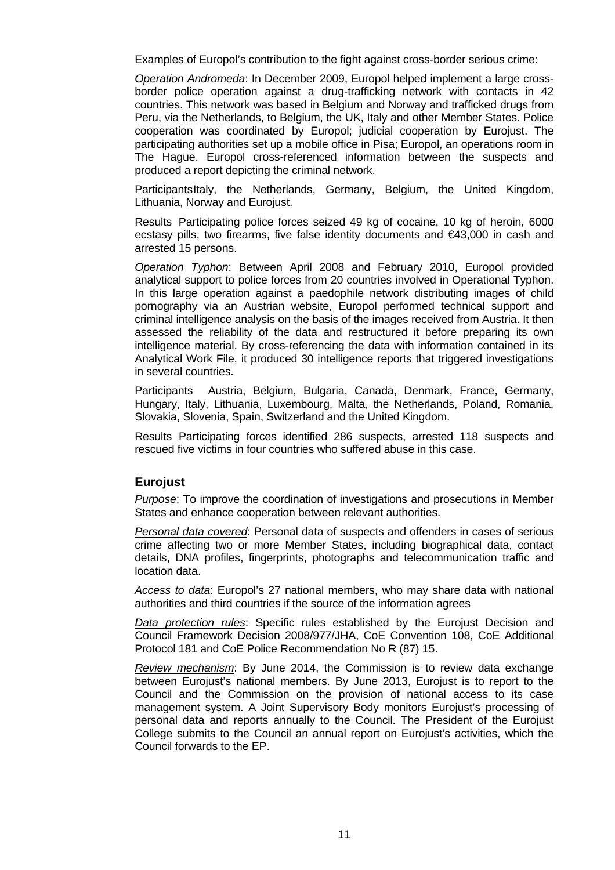Examples of Europol's contribution to the fight against cross-border serious crime:

*Operation Andromeda*: In December 2009, Europol helped implement a large crossborder police operation against a drug-trafficking network with contacts in 42 countries. This network was based in Belgium and Norway and trafficked drugs from Peru, via the Netherlands, to Belgium, the UK, Italy and other Member States. Police cooperation was coordinated by Europol; judicial cooperation by Eurojust. The participating authorities set up a mobile office in Pisa; Europol, an operations room in The Hague. Europol cross-referenced information between the suspects and produced a report depicting the criminal network.

Participants Italy, the Netherlands, Germany, Belgium, the United Kingdom, Lithuania, Norway and Eurojust.

Results Participating police forces seized 49 kg of cocaine, 10 kg of heroin, 6000 ecstasy pills, two firearms, five false identity documents and €43,000 in cash and arrested 15 persons.

*Operation Typhon*: Between April 2008 and February 2010, Europol provided analytical support to police forces from 20 countries involved in Operational Typhon. In this large operation against a paedophile network distributing images of child pornography via an Austrian website, Europol performed technical support and criminal intelligence analysis on the basis of the images received from Austria. It then assessed the reliability of the data and restructured it before preparing its own intelligence material. By cross-referencing the data with information contained in its Analytical Work File, it produced 30 intelligence reports that triggered investigations in several countries.

Participants Austria, Belgium, Bulgaria, Canada, Denmark, France, Germany, Hungary, Italy, Lithuania, Luxembourg, Malta, the Netherlands, Poland, Romania, Slovakia, Slovenia, Spain, Switzerland and the United Kingdom.

Results Participating forces identified 286 suspects, arrested 118 suspects and rescued five victims in four countries who suffered abuse in this case.

#### **Eurojust**

*Purpose*: To improve the coordination of investigations and prosecutions in Member States and enhance cooperation between relevant authorities.

*Personal data covered*: Personal data of suspects and offenders in cases of serious crime affecting two or more Member States, including biographical data, contact details, DNA profiles, fingerprints, photographs and telecommunication traffic and location data.

*Access to data*: Europol's 27 national members, who may share data with national authorities and third countries if the source of the information agrees

*Data protection rules*: Specific rules established by the Eurojust Decision and Council Framework Decision 2008/977/JHA, CoE Convention 108, CoE Additional Protocol 181 and CoE Police Recommendation No R (87) 15.

*Review mechanism*: By June 2014, the Commission is to review data exchange between Eurojust's national members. By June 2013, Eurojust is to report to the Council and the Commission on the provision of national access to its case management system. A Joint Supervisory Body monitors Eurojust's processing of personal data and reports annually to the Council. The President of the Eurojust College submits to the Council an annual report on Eurojust's activities, which the Council forwards to the EP.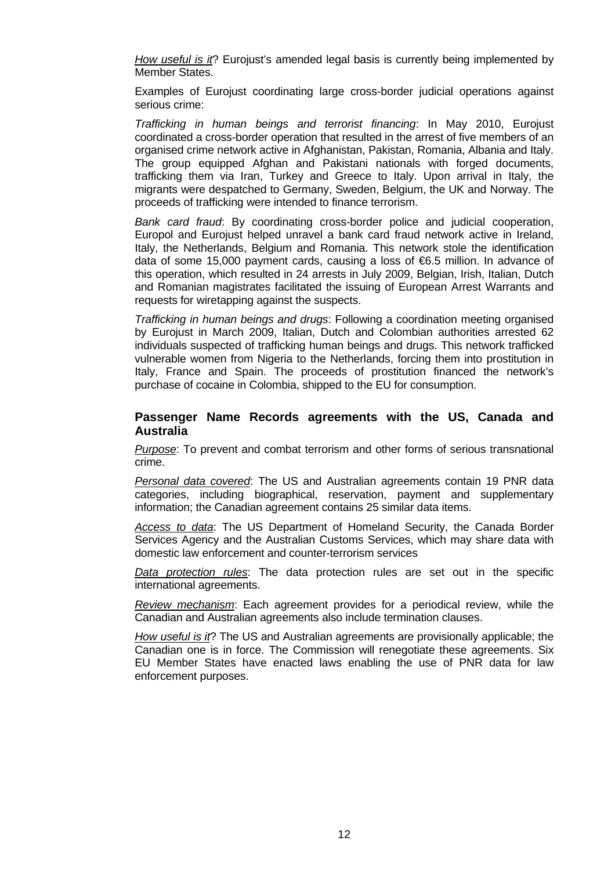*How useful is it*? Eurojust's amended legal basis is currently being implemented by Member States.

Examples of Eurojust coordinating large cross-border judicial operations against serious crime:

*Trafficking in human beings and terrorist financing*: In May 2010, Eurojust coordinated a cross-border operation that resulted in the arrest of five members of an organised crime network active in Afghanistan, Pakistan, Romania, Albania and Italy. The group equipped Afghan and Pakistani nationals with forged documents, trafficking them via Iran, Turkey and Greece to Italy. Upon arrival in Italy, the migrants were despatched to Germany, Sweden, Belgium, the UK and Norway. The proceeds of trafficking were intended to finance terrorism.

*Bank card fraud*: By coordinating cross-border police and judicial cooperation, Europol and Eurojust helped unravel a bank card fraud network active in Ireland, Italy, the Netherlands, Belgium and Romania. This network stole the identification data of some 15,000 payment cards, causing a loss of €6.5 million. In advance of this operation, which resulted in 24 arrests in July 2009, Belgian, Irish, Italian, Dutch and Romanian magistrates facilitated the issuing of European Arrest Warrants and requests for wiretapping against the suspects.

*Trafficking in human beings and drugs*: Following a coordination meeting organised by Eurojust in March 2009, Italian, Dutch and Colombian authorities arrested 62 individuals suspected of trafficking human beings and drugs. This network trafficked vulnerable women from Nigeria to the Netherlands, forcing them into prostitution in Italy, France and Spain. The proceeds of prostitution financed the network's purchase of cocaine in Colombia, shipped to the EU for consumption.

#### **Passenger Name Records agreements with the US, Canada and Australia**

*Purpose*: To prevent and combat terrorism and other forms of serious transnational crime.

*Personal data covered*: The US and Australian agreements contain 19 PNR data categories, including biographical, reservation, payment and supplementary information; the Canadian agreement contains 25 similar data items.

*Access to data*: The US Department of Homeland Security, the Canada Border Services Agency and the Australian Customs Services, which may share data with domestic law enforcement and counter-terrorism services

*Data protection rules*: The data protection rules are set out in the specific international agreements.

*Review mechanism*: Each agreement provides for a periodical review, while the Canadian and Australian agreements also include termination clauses.

*How useful is it*? The US and Australian agreements are provisionally applicable; the Canadian one is in force. The Commission will renegotiate these agreements. Six EU Member States have enacted laws enabling the use of PNR data for law enforcement purposes.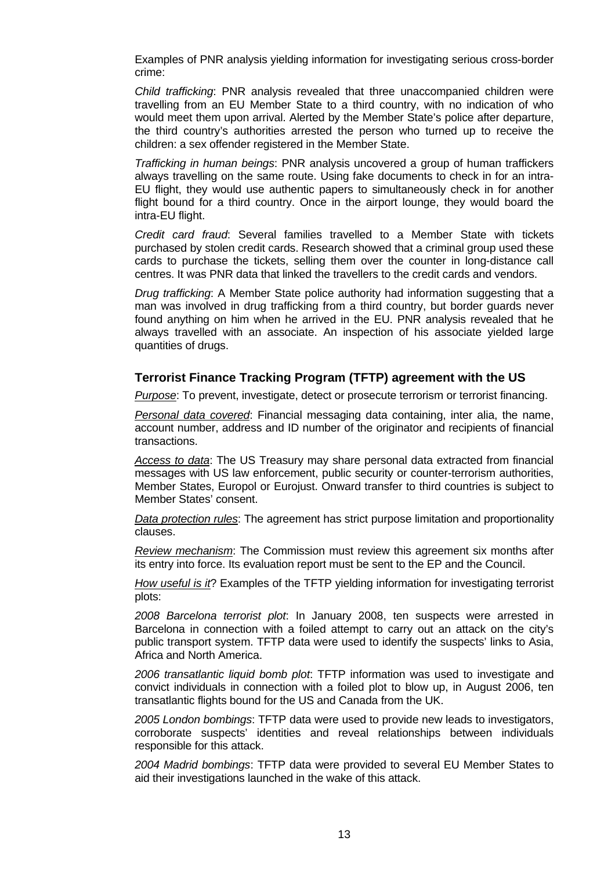Examples of PNR analysis yielding information for investigating serious cross-border crime:

*Child trafficking*: PNR analysis revealed that three unaccompanied children were travelling from an EU Member State to a third country, with no indication of who would meet them upon arrival. Alerted by the Member State's police after departure, the third country's authorities arrested the person who turned up to receive the children: a sex offender registered in the Member State.

*Trafficking in human beings*: PNR analysis uncovered a group of human traffickers always travelling on the same route. Using fake documents to check in for an intra-EU flight, they would use authentic papers to simultaneously check in for another flight bound for a third country. Once in the airport lounge, they would board the intra-EU flight.

*Credit card fraud*: Several families travelled to a Member State with tickets purchased by stolen credit cards. Research showed that a criminal group used these cards to purchase the tickets, selling them over the counter in long-distance call centres. It was PNR data that linked the travellers to the credit cards and vendors.

*Drug trafficking*: A Member State police authority had information suggesting that a man was involved in drug trafficking from a third country, but border guards never found anything on him when he arrived in the EU. PNR analysis revealed that he always travelled with an associate. An inspection of his associate yielded large quantities of drugs.

#### **Terrorist Finance Tracking Program (TFTP) agreement with the US**

*Purpose*: To prevent, investigate, detect or prosecute terrorism or terrorist financing.

*Personal data covered*: Financial messaging data containing, inter alia, the name, account number, address and ID number of the originator and recipients of financial transactions.

*Access to data*: The US Treasury may share personal data extracted from financial messages with US law enforcement, public security or counter-terrorism authorities, Member States, Europol or Eurojust. Onward transfer to third countries is subject to Member States' consent.

*Data protection rules*: The agreement has strict purpose limitation and proportionality clauses.

*Review mechanism*: The Commission must review this agreement six months after its entry into force. Its evaluation report must be sent to the EP and the Council.

*How useful is it*? Examples of the TFTP yielding information for investigating terrorist plots:

*2008 Barcelona terrorist plot*: In January 2008, ten suspects were arrested in Barcelona in connection with a foiled attempt to carry out an attack on the city's public transport system. TFTP data were used to identify the suspects' links to Asia, Africa and North America.

*2006 transatlantic liquid bomb plot*: TFTP information was used to investigate and convict individuals in connection with a foiled plot to blow up, in August 2006, ten transatlantic flights bound for the US and Canada from the UK.

*2005 London bombings*: TFTP data were used to provide new leads to investigators, corroborate suspects' identities and reveal relationships between individuals responsible for this attack.

*2004 Madrid bombings*: TFTP data were provided to several EU Member States to aid their investigations launched in the wake of this attack.